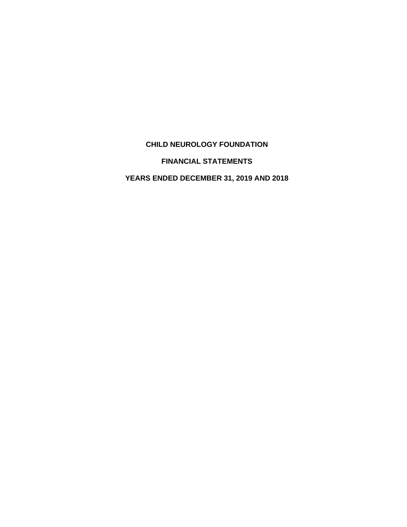# **CHILD NEUROLOGY FOUNDATION**

### **FINANCIAL STATEMENTS**

**YEARS ENDED DECEMBER 31, 2019 AND 2018**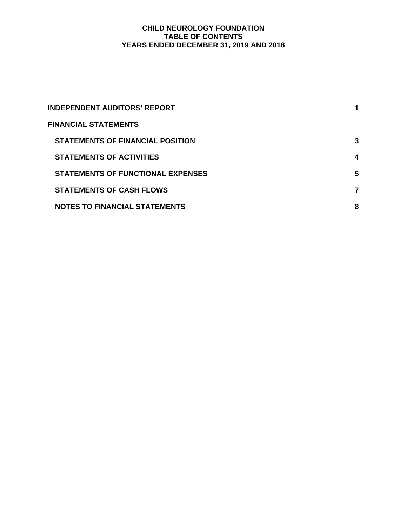# **CHILD NEUROLOGY FOUNDATION TABLE OF CONTENTS YEARS ENDED DECEMBER 31, 2019 AND 2018**

| <b>INDEPENDENT AUDITORS' REPORT</b>      |   |
|------------------------------------------|---|
| <b>FINANCIAL STATEMENTS</b>              |   |
| <b>STATEMENTS OF FINANCIAL POSITION</b>  | 3 |
| <b>STATEMENTS OF ACTIVITIES</b>          | 4 |
| <b>STATEMENTS OF FUNCTIONAL EXPENSES</b> | 5 |
| <b>STATEMENTS OF CASH FLOWS</b>          | 7 |
| <b>NOTES TO FINANCIAL STATEMENTS</b>     | 8 |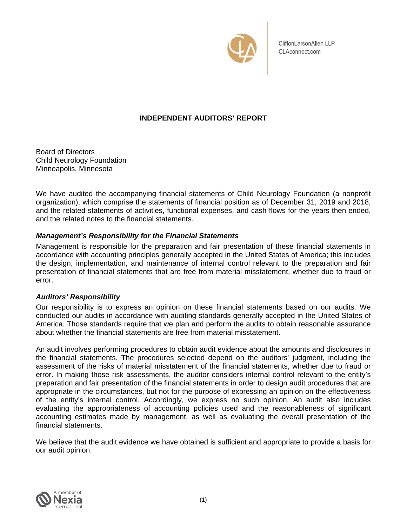

CliftonLarsonAllen LLP CLAconnect.com

# **INDEPENDENT AUDITORS' REPORT**

Board of Directors Child Neurology Foundation Minneapolis, Minnesota

We have audited the accompanying financial statements of Child Neurology Foundation (a nonprofit organization), which comprise the statements of financial position as of December 31, 2019 and 2018, and the related statements of activities, functional expenses, and cash flows for the years then ended, and the related notes to the financial statements.

# *Management's Responsibility for the Financial Statements*

Management is responsible for the preparation and fair presentation of these financial statements in accordance with accounting principles generally accepted in the United States of America; this includes the design, implementation, and maintenance of internal control relevant to the preparation and fair presentation of financial statements that are free from material misstatement, whether due to fraud or error.

# *Auditors' Responsibility*

Our responsibility is to express an opinion on these financial statements based on our audits. We conducted our audits in accordance with auditing standards generally accepted in the United States of America. Those standards require that we plan and perform the audits to obtain reasonable assurance about whether the financial statements are free from material misstatement.

An audit involves performing procedures to obtain audit evidence about the amounts and disclosures in the financial statements. The procedures selected depend on the auditors' judgment, including the assessment of the risks of material misstatement of the financial statements, whether due to fraud or error. In making those risk assessments, the auditor considers internal control relevant to the entity's preparation and fair presentation of the financial statements in order to design audit procedures that are appropriate in the circumstances, but not for the purpose of expressing an opinion on the effectiveness of the entity's internal control. Accordingly, we express no such opinion. An audit also includes evaluating the appropriateness of accounting policies used and the reasonableness of significant accounting estimates made by management, as well as evaluating the overall presentation of the financial statements.

We believe that the audit evidence we have obtained is sufficient and appropriate to provide a basis for our audit opinion.

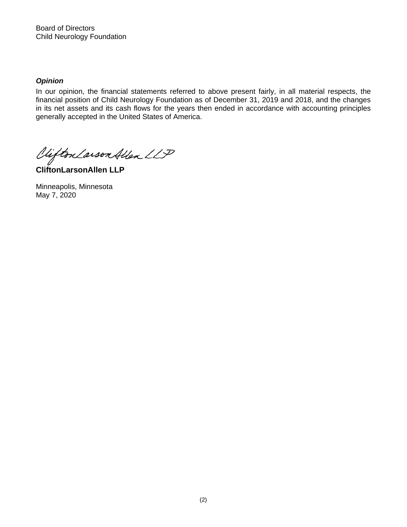Board of Directors Child Neurology Foundation

# *Opinion*

In our opinion, the financial statements referred to above present fairly, in all material respects, the financial position of Child Neurology Foundation as of December 31, 2019 and 2018, and the changes in its net assets and its cash flows for the years then ended in accordance with accounting principles generally accepted in the United States of America.

Viifton Larson Allen LLP

**CliftonLarsonAllen LLP** 

Minneapolis, Minnesota May 7, 2020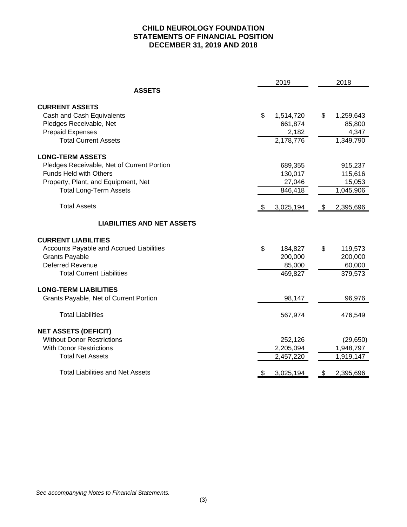# **CHILD NEUROLOGY FOUNDATION STATEMENTS OF FINANCIAL POSITION DECEMBER 31, 2019 AND 2018**

|                                            | 2019            | 2018            |
|--------------------------------------------|-----------------|-----------------|
| <b>ASSETS</b>                              |                 |                 |
| <b>CURRENT ASSETS</b>                      |                 |                 |
| Cash and Cash Equivalents                  | \$<br>1,514,720 | \$<br>1,259,643 |
| Pledges Receivable, Net                    | 661,874         | 85,800          |
| <b>Prepaid Expenses</b>                    | 2,182           | 4,347           |
| <b>Total Current Assets</b>                | 2,178,776       | 1,349,790       |
| <b>LONG-TERM ASSETS</b>                    |                 |                 |
| Pledges Receivable, Net of Current Portion | 689,355         | 915,237         |
| <b>Funds Held with Others</b>              | 130,017         | 115,616         |
| Property, Plant, and Equipment, Net        | 27,046          | 15,053          |
| <b>Total Long-Term Assets</b>              | 846,418         | 1,045,906       |
| <b>Total Assets</b>                        | 3,025,194<br>26 | 2,395,696<br>\$ |
| <b>LIABILITIES AND NET ASSETS</b>          |                 |                 |
| <b>CURRENT LIABILITIES</b>                 |                 |                 |
| Accounts Payable and Accrued Liabilities   | \$<br>184,827   | \$<br>119,573   |
| <b>Grants Payable</b>                      | 200,000         | 200,000         |
| Deferred Revenue                           | 85,000          | 60,000          |
| <b>Total Current Liabilities</b>           | 469,827         | 379,573         |
| <b>LONG-TERM LIABILITIES</b>               |                 |                 |
| Grants Payable, Net of Current Portion     | 98,147          | 96,976          |
| <b>Total Liabilities</b>                   | 567,974         | 476,549         |
| <b>NET ASSETS (DEFICIT)</b>                |                 |                 |
| <b>Without Donor Restrictions</b>          | 252,126         | (29, 650)       |
| <b>With Donor Restrictions</b>             | 2,205,094       | 1,948,797       |
| <b>Total Net Assets</b>                    | 2,457,220       | 1,919,147       |
| <b>Total Liabilities and Net Assets</b>    | \$<br>3,025,194 | 2,395,696<br>\$ |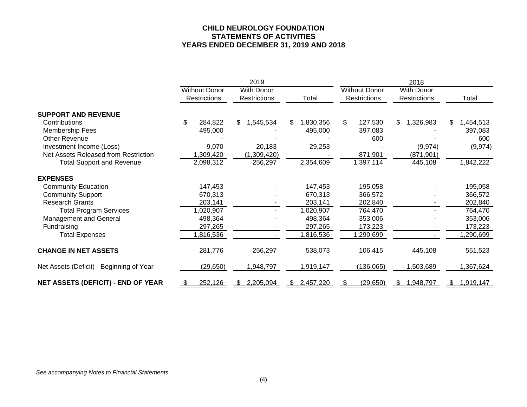### **CHILD NEUROLOGY FOUNDATION STATEMENTS OF ACTIVITIES YEARS ENDED DECEMBER 31, 2019 AND 2018**

|                                           |                      | 2019                |                 |                      | 2018              |                 |
|-------------------------------------------|----------------------|---------------------|-----------------|----------------------|-------------------|-----------------|
|                                           | <b>Without Donor</b> | <b>With Donor</b>   |                 | <b>Without Donor</b> | <b>With Donor</b> |                 |
|                                           | <b>Restrictions</b>  | <b>Restrictions</b> | Total           | Restrictions         | Restrictions      | Total           |
| <b>SUPPORT AND REVENUE</b>                |                      |                     |                 |                      |                   |                 |
| Contributions                             | \$<br>284,822        | 1,545,534<br>\$     | 1,830,356<br>\$ | \$<br>127,530        | 1,326,983<br>\$   | 1,454,513<br>\$ |
| <b>Membership Fees</b>                    | 495,000              |                     | 495,000         | 397,083              |                   | 397,083         |
| <b>Other Revenue</b>                      |                      |                     |                 | 600                  |                   | 600             |
| Investment Income (Loss)                  | 9,070                | 20,183              | 29,253          |                      | (9,974)           | (9, 974)        |
| Net Assets Released from Restriction      | 1,309,420            | (1,309,420)         |                 | 871,901              | (871, 901)        |                 |
| <b>Total Support and Revenue</b>          | 2,098,312            | 256,297             | 2,354,609       | 1,397,114            | 445,108           | 1,842,222       |
| <b>EXPENSES</b>                           |                      |                     |                 |                      |                   |                 |
| <b>Community Education</b>                | 147,453              |                     | 147,453         | 195,058              |                   | 195,058         |
| <b>Community Support</b>                  | 670,313              |                     | 670,313         | 366,572              |                   | 366,572         |
| <b>Research Grants</b>                    | 203,141              |                     | 203,141         | 202,840              |                   | 202,840         |
| <b>Total Program Services</b>             | 1,020,907            |                     | 1,020,907       | 764,470              |                   | 764,470         |
| Management and General                    | 498,364              |                     | 498,364         | 353,006              |                   | 353,006         |
| Fundraising                               | 297,265              |                     | 297,265         | 173,223              |                   | 173,223         |
| <b>Total Expenses</b>                     | ,816,536             |                     | 1,816,536       | 1,290,699            |                   | ,290,699        |
| <b>CHANGE IN NET ASSETS</b>               | 281,776              | 256,297             | 538,073         | 106,415              | 445,108           | 551,523         |
| Net Assets (Deficit) - Beginning of Year  | (29, 650)            | 1,948,797           | 1,919,147       | (136,065)            | 1,503,689         | 1,367,624       |
| <b>NET ASSETS (DEFICIT) - END OF YEAR</b> | 252,126              | 2,205,094           | 2,457,220       | (29, 650)<br>\$      | 1,948,797<br>\$   | 1,919,147       |

*See accompanying Notes to Financial Statements.*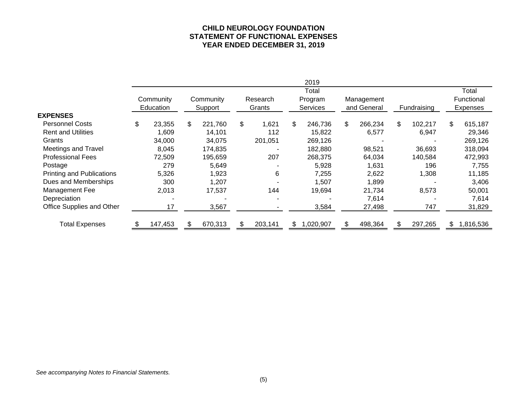### **CHILD NEUROLOGY FOUNDATION STATEMENT OF FUNCTIONAL EXPENSES YEAR ENDED DECEMBER 31, 2019**

|                           |              |               |                | 2019            |               |               |               |
|---------------------------|--------------|---------------|----------------|-----------------|---------------|---------------|---------------|
|                           |              |               |                | Total           |               |               | Total         |
|                           | Community    | Community     | Research       | Program         | Management    |               | Functional    |
|                           | Education    | Support       | Grants         | <b>Services</b> | and General   | Fundraising   | Expenses      |
| <b>EXPENSES</b>           |              |               |                |                 |               |               |               |
| <b>Personnel Costs</b>    | \$<br>23,355 | \$<br>221,760 | \$<br>1,621    | \$<br>246,736   | \$<br>266,234 | \$<br>102,217 | \$<br>615,187 |
| <b>Rent and Utilities</b> | 1,609        | 14,101        | 112            | 15,822          | 6,577         | 6,947         | 29,346        |
| Grants                    | 34,000       | 34,075        | 201,051        | 269,126         |               |               | 269,126       |
| Meetings and Travel       | 8,045        | 174,835       |                | 182.880         | 98,521        | 36,693        | 318,094       |
| <b>Professional Fees</b>  | 72,509       | 195,659       | 207            | 268,375         | 64,034        | 140,584       | 472,993       |
| Postage                   | 279          | 5,649         |                | 5,928           | 1,631         | 196           | 7,755         |
| Printing and Publications | 5,326        | 1,923         | 6              | 7,255           | 2,622         | 1,308         | 11,185        |
| Dues and Memberships      | 300          | 1.207         |                | 1.507           | 1,899         |               | 3.406         |
| Management Fee            | 2,013        | 17,537        | 144            | 19,694          | 21,734        | 8,573         | 50,001        |
| Depreciation              |              |               | $\blacksquare$ |                 | 7,614         |               | 7,614         |
| Office Supplies and Other | 17           | 3,567         |                | 3,584           | 27,498        | 747           | 31,829        |
| <b>Total Expenses</b>     | 147,453      | 670,313       | 203,141        | 1,020,907       | 498,364       | 297,265       | 1,816,536     |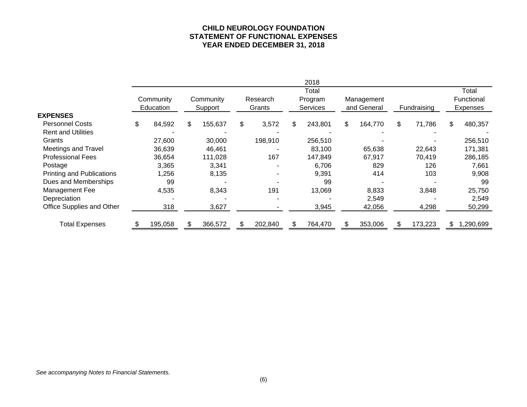### **CHILD NEUROLOGY FOUNDATION STATEMENT OF FUNCTIONAL EXPENSES YEAR ENDED DECEMBER 31, 2018**

|                            |              |     |           |                | 2018          |               |              |     |            |
|----------------------------|--------------|-----|-----------|----------------|---------------|---------------|--------------|-----|------------|
|                            |              |     |           |                | Total         |               |              |     | Total      |
|                            | Community    |     | Community | Research       | Program       | Management    |              |     | Functional |
|                            | Education    |     | Support   | Grants         | Services      | and General   | Fundraising  |     | Expenses   |
| <b>EXPENSES</b>            |              |     |           |                |               |               |              |     |            |
| <b>Personnel Costs</b>     | \$<br>84,592 | \$. | 155,637   | \$<br>3,572    | \$<br>243,801 | \$<br>164,770 | \$<br>71,786 | \$. | 480,357    |
| <b>Rent and Utilities</b>  |              |     |           |                |               |               |              |     |            |
| Grants                     | 27,600       |     | 30,000    | 198,910        | 256,510       |               |              |     | 256,510    |
| <b>Meetings and Travel</b> | 36,639       |     | 46,461    |                | 83.100        | 65,638        | 22,643       |     | 171,381    |
| <b>Professional Fees</b>   | 36,654       |     | 111,028   | 167            | 147,849       | 67,917        | 70,419       |     | 286,185    |
| Postage                    | 3,365        |     | 3,341     |                | 6.706         | 829           | 126          |     | 7,661      |
| Printing and Publications  | 1,256        |     | 8,135     | $\blacksquare$ | 9,391         | 414           | 103          |     | 9,908      |
| Dues and Memberships       | 99           |     |           |                | 99            |               |              |     | 99         |
| Management Fee             | 4,535        |     | 8,343     | 191            | 13,069        | 8,833         | 3,848        |     | 25,750     |
| Depreciation               |              |     |           |                |               | 2,549         |              |     | 2,549      |
| Office Supplies and Other  | 318          |     | 3,627     |                | 3,945         | 42,056        | 4,298        |     | 50,299     |
| <b>Total Expenses</b>      | 195,058      |     | 366,572   | 202,840        | 764,470       | 353,006       | 173,223      |     | 1,290,699  |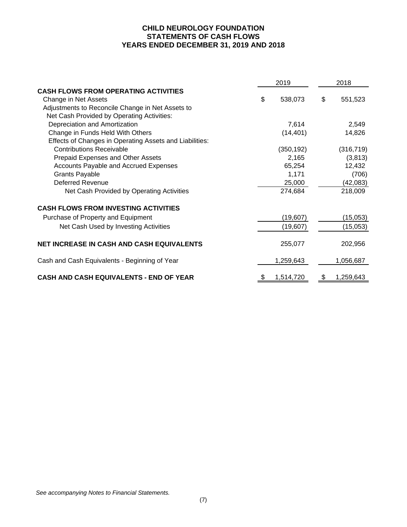# **CHILD NEUROLOGY FOUNDATION STATEMENTS OF CASH FLOWS YEARS ENDED DECEMBER 31, 2019 AND 2018**

|                                                         | 2019          | 2018          |  |  |
|---------------------------------------------------------|---------------|---------------|--|--|
| <b>CASH FLOWS FROM OPERATING ACTIVITIES</b>             |               |               |  |  |
| Change in Net Assets                                    | \$<br>538,073 | \$<br>551,523 |  |  |
| Adjustments to Reconcile Change in Net Assets to        |               |               |  |  |
| Net Cash Provided by Operating Activities:              |               |               |  |  |
| Depreciation and Amortization                           | 7,614         | 2,549         |  |  |
| Change in Funds Held With Others                        | (14, 401)     | 14,826        |  |  |
| Effects of Changes in Operating Assets and Liabilities: |               |               |  |  |
| <b>Contributions Receivable</b>                         | (350, 192)    | (316, 719)    |  |  |
| Prepaid Expenses and Other Assets                       | 2,165         | (3,813)       |  |  |
| Accounts Payable and Accrued Expenses                   | 65,254        | 12,432        |  |  |
| <b>Grants Payable</b>                                   | 1,171         | (706)         |  |  |
| <b>Deferred Revenue</b>                                 | 25,000        | (42,083)      |  |  |
| Net Cash Provided by Operating Activities               | 274,684       | 218,009       |  |  |
| <b>CASH FLOWS FROM INVESTING ACTIVITIES</b>             |               |               |  |  |
| Purchase of Property and Equipment                      | (19,607)      | (15,053)      |  |  |
| Net Cash Used by Investing Activities                   | (19,607)      | (15,053)      |  |  |
| NET INCREASE IN CASH AND CASH EQUIVALENTS               | 255,077       | 202,956       |  |  |
| Cash and Cash Equivalents - Beginning of Year           | 1,259,643     | 1,056,687     |  |  |
| <b>CASH AND CASH EQUIVALENTS - END OF YEAR</b>          | 1,514,720     | 1,259,643     |  |  |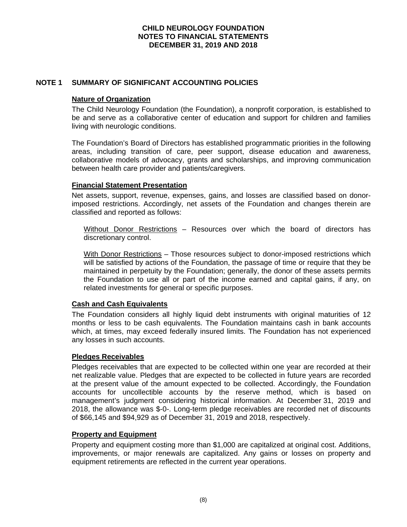# **NOTE 1 SUMMARY OF SIGNIFICANT ACCOUNTING POLICIES**

#### **Nature of Organization**

The Child Neurology Foundation (the Foundation), a nonprofit corporation, is established to be and serve as a collaborative center of education and support for children and families living with neurologic conditions.

The Foundation's Board of Directors has established programmatic priorities in the following areas, including transition of care, peer support, disease education and awareness, collaborative models of advocacy, grants and scholarships, and improving communication between health care provider and patients/caregivers.

#### **Financial Statement Presentation**

Net assets, support, revenue, expenses, gains, and losses are classified based on donorimposed restrictions. Accordingly, net assets of the Foundation and changes therein are classified and reported as follows:

Without Donor Restrictions – Resources over which the board of directors has discretionary control.

With Donor Restrictions – Those resources subject to donor-imposed restrictions which will be satisfied by actions of the Foundation, the passage of time or require that they be maintained in perpetuity by the Foundation; generally, the donor of these assets permits the Foundation to use all or part of the income earned and capital gains, if any, on related investments for general or specific purposes.

#### **Cash and Cash Equivalents**

The Foundation considers all highly liquid debt instruments with original maturities of 12 months or less to be cash equivalents. The Foundation maintains cash in bank accounts which, at times, may exceed federally insured limits. The Foundation has not experienced any losses in such accounts.

#### **Pledges Receivables**

Pledges receivables that are expected to be collected within one year are recorded at their net realizable value. Pledges that are expected to be collected in future years are recorded at the present value of the amount expected to be collected. Accordingly, the Foundation accounts for uncollectible accounts by the reserve method, which is based on management's judgment considering historical information. At December 31, 2019 and 2018, the allowance was \$-0-. Long-term pledge receivables are recorded net of discounts of \$66,145 and \$94,929 as of December 31, 2019 and 2018, respectively.

#### **Property and Equipment**

Property and equipment costing more than \$1,000 are capitalized at original cost. Additions, improvements, or major renewals are capitalized. Any gains or losses on property and equipment retirements are reflected in the current year operations.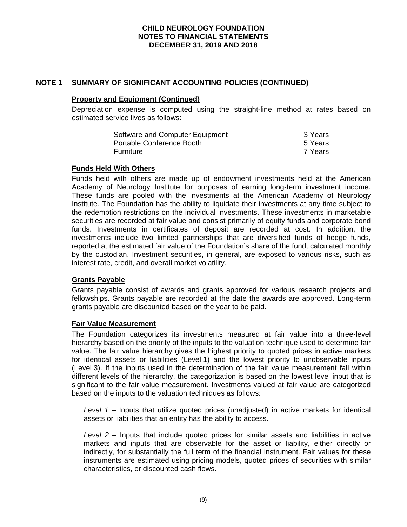# **NOTE 1 SUMMARY OF SIGNIFICANT ACCOUNTING POLICIES (CONTINUED)**

#### **Property and Equipment (Continued)**

Depreciation expense is computed using the straight-line method at rates based on estimated service lives as follows:

| Software and Computer Equipment | 3 Years |
|---------------------------------|---------|
| Portable Conference Booth       | 5 Years |
| Furniture                       | 7 Years |

### **Funds Held With Others**

Funds held with others are made up of endowment investments held at the American Academy of Neurology Institute for purposes of earning long-term investment income. These funds are pooled with the investments at the American Academy of Neurology Institute. The Foundation has the ability to liquidate their investments at any time subject to the redemption restrictions on the individual investments. These investments in marketable securities are recorded at fair value and consist primarily of equity funds and corporate bond funds. Investments in certificates of deposit are recorded at cost. In addition, the investments include two limited partnerships that are diversified funds of hedge funds, reported at the estimated fair value of the Foundation's share of the fund, calculated monthly by the custodian. Investment securities, in general, are exposed to various risks, such as interest rate, credit, and overall market volatility.

#### **Grants Payable**

Grants payable consist of awards and grants approved for various research projects and fellowships. Grants payable are recorded at the date the awards are approved. Long-term grants payable are discounted based on the year to be paid.

#### **Fair Value Measurement**

The Foundation categorizes its investments measured at fair value into a three-level hierarchy based on the priority of the inputs to the valuation technique used to determine fair value. The fair value hierarchy gives the highest priority to quoted prices in active markets for identical assets or liabilities (Level 1) and the lowest priority to unobservable inputs (Level 3). If the inputs used in the determination of the fair value measurement fall within different levels of the hierarchy, the categorization is based on the lowest level input that is significant to the fair value measurement. Investments valued at fair value are categorized based on the inputs to the valuation techniques as follows:

*Level 1* – Inputs that utilize quoted prices (unadjusted) in active markets for identical assets or liabilities that an entity has the ability to access.

*Level 2* – Inputs that include quoted prices for similar assets and liabilities in active markets and inputs that are observable for the asset or liability, either directly or indirectly, for substantially the full term of the financial instrument. Fair values for these instruments are estimated using pricing models, quoted prices of securities with similar characteristics, or discounted cash flows.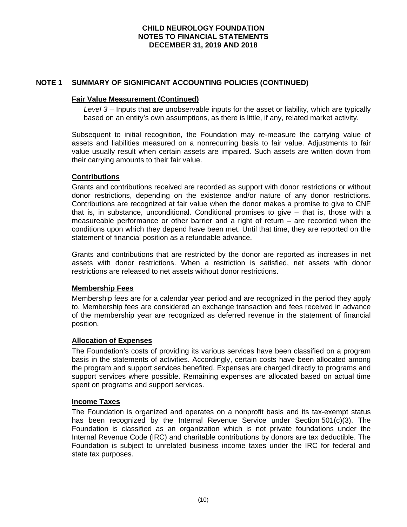# **NOTE 1 SUMMARY OF SIGNIFICANT ACCOUNTING POLICIES (CONTINUED)**

### **Fair Value Measurement (Continued)**

*Level 3* – Inputs that are unobservable inputs for the asset or liability, which are typically based on an entity's own assumptions, as there is little, if any, related market activity.

Subsequent to initial recognition, the Foundation may re-measure the carrying value of assets and liabilities measured on a nonrecurring basis to fair value. Adjustments to fair value usually result when certain assets are impaired. Such assets are written down from their carrying amounts to their fair value.

# **Contributions**

Grants and contributions received are recorded as support with donor restrictions or without donor restrictions, depending on the existence and/or nature of any donor restrictions. Contributions are recognized at fair value when the donor makes a promise to give to CNF that is, in substance, unconditional. Conditional promises to give – that is, those with a measureable performance or other barrier and a right of return – are recorded when the conditions upon which they depend have been met. Until that time, they are reported on the statement of financial position as a refundable advance.

Grants and contributions that are restricted by the donor are reported as increases in net assets with donor restrictions. When a restriction is satisfied, net assets with donor restrictions are released to net assets without donor restrictions.

# **Membership Fees**

Membership fees are for a calendar year period and are recognized in the period they apply to. Membership fees are considered an exchange transaction and fees received in advance of the membership year are recognized as deferred revenue in the statement of financial position.

#### **Allocation of Expenses**

The Foundation's costs of providing its various services have been classified on a program basis in the statements of activities. Accordingly, certain costs have been allocated among the program and support services benefited. Expenses are charged directly to programs and support services where possible. Remaining expenses are allocated based on actual time spent on programs and support services.

#### **Income Taxes**

The Foundation is organized and operates on a nonprofit basis and its tax-exempt status has been recognized by the Internal Revenue Service under Section 501(c)(3). The Foundation is classified as an organization which is not private foundations under the Internal Revenue Code (IRC) and charitable contributions by donors are tax deductible. The Foundation is subject to unrelated business income taxes under the IRC for federal and state tax purposes.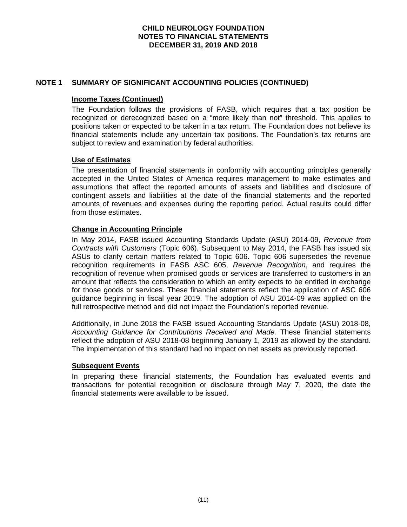# **NOTE 1 SUMMARY OF SIGNIFICANT ACCOUNTING POLICIES (CONTINUED)**

#### **Income Taxes (Continued)**

The Foundation follows the provisions of FASB, which requires that a tax position be recognized or derecognized based on a "more likely than not" threshold. This applies to positions taken or expected to be taken in a tax return. The Foundation does not believe its financial statements include any uncertain tax positions. The Foundation's tax returns are subject to review and examination by federal authorities.

### **Use of Estimates**

The presentation of financial statements in conformity with accounting principles generally accepted in the United States of America requires management to make estimates and assumptions that affect the reported amounts of assets and liabilities and disclosure of contingent assets and liabilities at the date of the financial statements and the reported amounts of revenues and expenses during the reporting period. Actual results could differ from those estimates.

# **Change in Accounting Principle**

In May 2014, FASB issued Accounting Standards Update (ASU) 2014-09, *Revenue from Contracts with Customers* (Topic 606). Subsequent to May 2014, the FASB has issued six ASUs to clarify certain matters related to Topic 606. Topic 606 supersedes the revenue recognition requirements in FASB ASC 605, *Revenue Recognition*, and requires the recognition of revenue when promised goods or services are transferred to customers in an amount that reflects the consideration to which an entity expects to be entitled in exchange for those goods or services. These financial statements reflect the application of ASC 606 guidance beginning in fiscal year 2019. The adoption of ASU 2014-09 was applied on the full retrospective method and did not impact the Foundation's reported revenue.

Additionally, in June 2018 the FASB issued Accounting Standards Update (ASU) 2018-08, *Accounting Guidance for Contributions Received and Made.* These financial statements reflect the adoption of ASU 2018-08 beginning January 1, 2019 as allowed by the standard. The implementation of this standard had no impact on net assets as previously reported.

#### **Subsequent Events**

In preparing these financial statements, the Foundation has evaluated events and transactions for potential recognition or disclosure through May 7, 2020, the date the financial statements were available to be issued.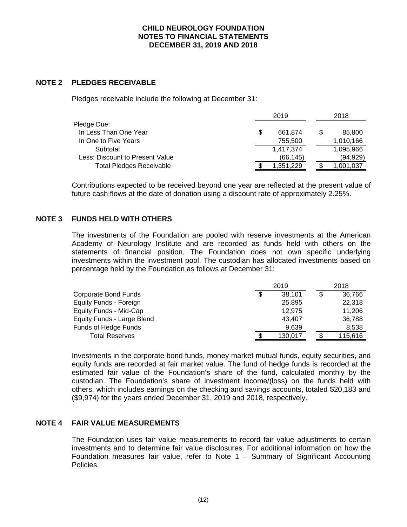### **NOTE 2 PLEDGES RECEIVABLE**

Pledges receivable include the following at December 31:

|                                 | 2019      |  | 2018      |
|---------------------------------|-----------|--|-----------|
| Pledge Due:                     |           |  |           |
| In Less Than One Year           | 661.874   |  | 85,800    |
| In One to Five Years            | 755,500   |  | 1,010,166 |
| Subtotal                        | 1,417,374 |  | 1,095,966 |
| Less: Discount to Present Value | (66,145)  |  | (94, 929) |
| <b>Total Pledges Receivable</b> | 1,351,229 |  | 001.037.ا |

Contributions expected to be received beyond one year are reflected at the present value of future cash flows at the date of donation using a discount rate of approximately 2.25%.

### **NOTE 3 FUNDS HELD WITH OTHERS**

The investments of the Foundation are pooled with reserve investments at the American Academy of Neurology Institute and are recorded as funds held with others on the statements of financial position. The Foundation does not own specific underlying investments within the investment pool. The custodian has allocated investments based on percentage held by the Foundation as follows at December 31:

|                            | 2019         | 2018    |
|----------------------------|--------------|---------|
| Corporate Bond Funds       | \$<br>38.101 | 36,766  |
| Equity Funds - Foreign     | 25,895       | 22,318  |
| Equity Funds - Mid-Cap     | 12.975       | 11,206  |
| Equity Funds - Large Blend | 43.407       | 36,788  |
| Funds of Hedge Funds       | 9.639        | 8,538   |
| <b>Total Reserves</b>      | 130,017      | 115,616 |

Investments in the corporate bond funds, money market mutual funds, equity securities, and equity funds are recorded at fair market value. The fund of hedge funds is recorded at the estimated fair value of the Foundation's share of the fund, calculated monthly by the custodian. The Foundation's share of investment income/(loss) on the funds held with others, which includes earnings on the checking and savings accounts, totaled \$20,183 and (\$9,974) for the years ended December 31, 2019 and 2018, respectively.

#### **NOTE 4 FAIR VALUE MEASUREMENTS**

The Foundation uses fair value measurements to record fair value adjustments to certain investments and to determine fair value disclosures. For additional information on how the Foundation measures fair value, refer to Note 1 – Summary of Significant Accounting Policies.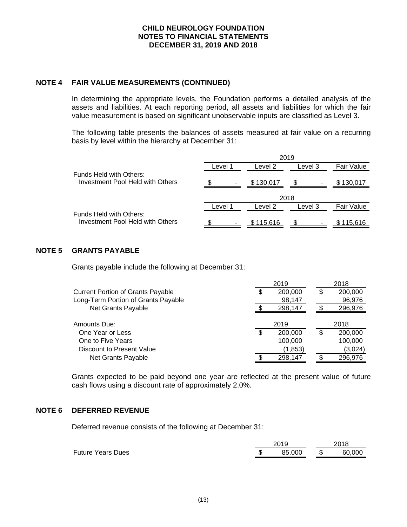### **NOTE 4 FAIR VALUE MEASUREMENTS (CONTINUED)**

In determining the appropriate levels, the Foundation performs a detailed analysis of the assets and liabilities. At each reporting period, all assets and liabilities for which the fair value measurement is based on significant unobservable inputs are classified as Level 3.

The following table presents the balances of assets measured at fair value on a recurring basis by level within the hierarchy at December 31:

|                                                             |         | 2019      |         |                   |  |  |  |  |  |
|-------------------------------------------------------------|---------|-----------|---------|-------------------|--|--|--|--|--|
|                                                             | Level 1 | Level 2   | Level 3 | <b>Fair Value</b> |  |  |  |  |  |
| Funds Held with Others:<br>Investment Pool Held with Others |         | \$130,017 |         | \$130,017         |  |  |  |  |  |
|                                                             |         |           | 2018    |                   |  |  |  |  |  |
|                                                             | Level 1 | Level 2   | Level 3 | Fair Value        |  |  |  |  |  |
| Funds Held with Others:<br>Investment Pool Held with Others |         | \$115,616 |         | <u>\$115,616</u>  |  |  |  |  |  |

# **NOTE 5 GRANTS PAYABLE**

Grants payable include the following at December 31:

|                                          | 2019          |     | 2018    |
|------------------------------------------|---------------|-----|---------|
| <b>Current Portion of Grants Payable</b> | \$<br>200,000 | \$  | 200,000 |
| Long-Term Portion of Grants Payable      | 98,147        |     | 96,976  |
| Net Grants Payable                       | 298,147       |     | 296,976 |
|                                          |               |     |         |
| Amounts Due:                             | 2019          |     | 2018    |
| One Year or Less                         | \$<br>200,000 | \$. | 200,000 |
| One to Five Years                        | 100,000       |     | 100,000 |
| Discount to Present Value                | (1, 853)      |     | (3,024) |
| Net Grants Payable                       | 298,147       |     | 296,976 |
|                                          |               |     |         |

Grants expected to be paid beyond one year are reflected at the present value of future cash flows using a discount rate of approximately 2.0%.

# **NOTE 6 DEFERRED REVENUE**

Deferred revenue consists of the following at December 31:

|                          | 2019   |    | 2018   |
|--------------------------|--------|----|--------|
| <b>Future Years Dues</b> | 85.000 | J. | 60.00C |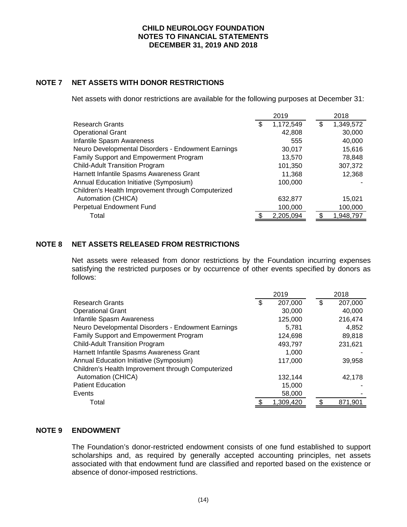# **NOTE 7 NET ASSETS WITH DONOR RESTRICTIONS**

Net assets with donor restrictions are available for the following purposes at December 31:

|                                                    | 2019            |    | 2018      |
|----------------------------------------------------|-----------------|----|-----------|
| <b>Research Grants</b>                             | \$<br>1,172,549 | \$ | 1,349,572 |
| <b>Operational Grant</b>                           | 42,808          |    | 30,000    |
| Infantile Spasm Awareness                          | 555             |    | 40,000    |
| Neuro Developmental Disorders - Endowment Earnings | 30,017          |    | 15,616    |
| Family Support and Empowerment Program             | 13,570          |    | 78,848    |
| <b>Child-Adult Transition Program</b>              | 101,350         |    | 307,372   |
| Harnett Infantile Spasms Awareness Grant           | 11,368          |    | 12,368    |
| Annual Education Initiative (Symposium)            | 100,000         |    |           |
| Children's Health Improvement through Computerized |                 |    |           |
| Automation (CHICA)                                 | 632,877         |    | 15,021    |
| Perpetual Endowment Fund                           | 100,000         |    | 100,000   |
| Total                                              | 2,205,094       |    | 1,948,797 |

# **NOTE 8 NET ASSETS RELEASED FROM RESTRICTIONS**

Net assets were released from donor restrictions by the Foundation incurring expenses satisfying the restricted purposes or by occurrence of other events specified by donors as follows:

|                                                    | 2019 |           | 2018          |
|----------------------------------------------------|------|-----------|---------------|
| <b>Research Grants</b>                             | \$   | 207,000   | \$<br>207,000 |
| <b>Operational Grant</b>                           |      | 30,000    | 40,000        |
| Infantile Spasm Awareness                          |      | 125,000   | 216,474       |
| Neuro Developmental Disorders - Endowment Earnings |      | 5.781     | 4.852         |
| Family Support and Empowerment Program             |      | 124,698   | 89,818        |
| <b>Child-Adult Transition Program</b>              |      | 493,797   | 231,621       |
| Harnett Infantile Spasms Awareness Grant           |      | 1.000     |               |
| Annual Education Initiative (Symposium)            |      | 117,000   | 39,958        |
| Children's Health Improvement through Computerized |      |           |               |
| Automation (CHICA)                                 |      | 132.144   | 42.178        |
| <b>Patient Education</b>                           |      | 15,000    |               |
| Events                                             |      | 58,000    |               |
| Total                                              |      | 1,309,420 | 871,901       |

# **NOTE 9 ENDOWMENT**

The Foundation's donor-restricted endowment consists of one fund established to support scholarships and, as required by generally accepted accounting principles, net assets associated with that endowment fund are classified and reported based on the existence or absence of donor-imposed restrictions.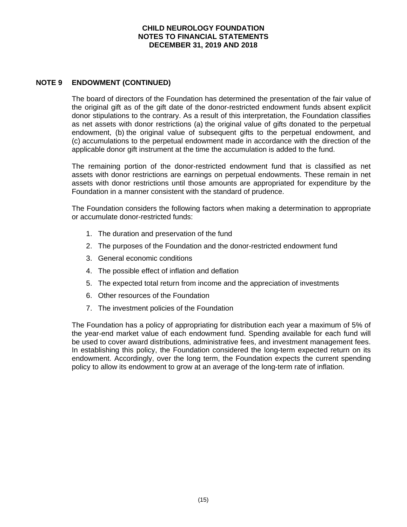# **NOTE 9 ENDOWMENT (CONTINUED)**

The board of directors of the Foundation has determined the presentation of the fair value of the original gift as of the gift date of the donor-restricted endowment funds absent explicit donor stipulations to the contrary. As a result of this interpretation, the Foundation classifies as net assets with donor restrictions (a) the original value of gifts donated to the perpetual endowment, (b) the original value of subsequent gifts to the perpetual endowment, and (c) accumulations to the perpetual endowment made in accordance with the direction of the applicable donor gift instrument at the time the accumulation is added to the fund.

The remaining portion of the donor-restricted endowment fund that is classified as net assets with donor restrictions are earnings on perpetual endowments. These remain in net assets with donor restrictions until those amounts are appropriated for expenditure by the Foundation in a manner consistent with the standard of prudence.

The Foundation considers the following factors when making a determination to appropriate or accumulate donor-restricted funds:

- 1. The duration and preservation of the fund
- 2. The purposes of the Foundation and the donor-restricted endowment fund
- 3. General economic conditions
- 4. The possible effect of inflation and deflation
- 5. The expected total return from income and the appreciation of investments
- 6. Other resources of the Foundation
- 7. The investment policies of the Foundation

The Foundation has a policy of appropriating for distribution each year a maximum of 5% of the year-end market value of each endowment fund. Spending available for each fund will be used to cover award distributions, administrative fees, and investment management fees. In establishing this policy, the Foundation considered the long-term expected return on its endowment. Accordingly, over the long term, the Foundation expects the current spending policy to allow its endowment to grow at an average of the long-term rate of inflation.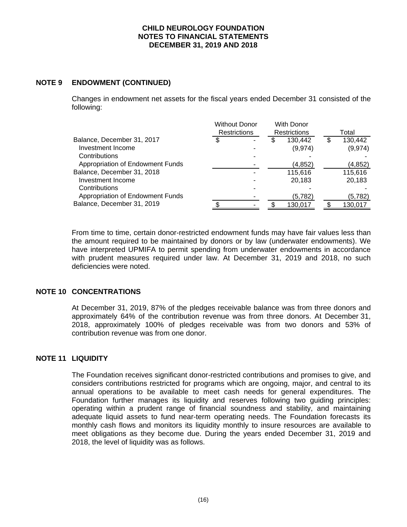# **NOTE 9 ENDOWMENT (CONTINUED)**

Changes in endowment net assets for the fiscal years ended December 31 consisted of the following:

|                                  | <b>Without Donor</b> | <b>With Donor</b>   |          |
|----------------------------------|----------------------|---------------------|----------|
|                                  | <b>Restrictions</b>  | <b>Restrictions</b> | Total    |
| Balance, December 31, 2017       |                      | 130,442             | 130,442  |
| Investment Income                |                      | (9,974)             | (9, 974) |
| Contributions                    |                      |                     |          |
| Appropriation of Endowment Funds |                      | (4,852)             | (4, 852) |
| Balance, December 31, 2018       |                      | 115,616             | 115,616  |
| Investment Income                |                      | 20,183              | 20,183   |
| Contributions                    |                      |                     |          |
| Appropriation of Endowment Funds |                      | (5,782)             | (5,782)  |
| Balance, December 31, 2019       |                      | 130,017             | 130,017  |

From time to time, certain donor-restricted endowment funds may have fair values less than the amount required to be maintained by donors or by law (underwater endowments). We have interpreted UPMIFA to permit spending from underwater endowments in accordance with prudent measures required under law. At December 31, 2019 and 2018, no such deficiencies were noted.

# **NOTE 10 CONCENTRATIONS**

At December 31, 2019, 87% of the pledges receivable balance was from three donors and approximately 64% of the contribution revenue was from three donors. At December 31, 2018, approximately 100% of pledges receivable was from two donors and 53% of contribution revenue was from one donor.

# **NOTE 11 LIQUIDITY**

The Foundation receives significant donor-restricted contributions and promises to give, and considers contributions restricted for programs which are ongoing, major, and central to its annual operations to be available to meet cash needs for general expenditures. The Foundation further manages its liquidity and reserves following two guiding principles: operating within a prudent range of financial soundness and stability, and maintaining adequate liquid assets to fund near-term operating needs. The Foundation forecasts its monthly cash flows and monitors its liquidity monthly to insure resources are available to meet obligations as they become due. During the years ended December 31, 2019 and 2018, the level of liquidity was as follows.